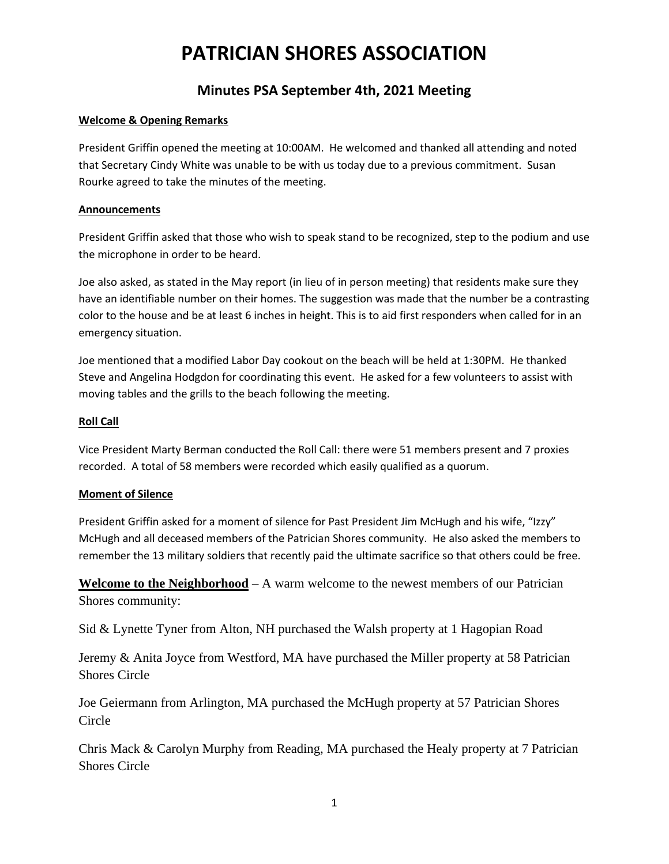# **Minutes PSA September 4th, 2021 Meeting**

### **Welcome & Opening Remarks**

President Griffin opened the meeting at 10:00AM. He welcomed and thanked all attending and noted that Secretary Cindy White was unable to be with us today due to a previous commitment. Susan Rourke agreed to take the minutes of the meeting.

#### **Announcements**

President Griffin asked that those who wish to speak stand to be recognized, step to the podium and use the microphone in order to be heard.

Joe also asked, as stated in the May report (in lieu of in person meeting) that residents make sure they have an identifiable number on their homes. The suggestion was made that the number be a contrasting color to the house and be at least 6 inches in height. This is to aid first responders when called for in an emergency situation.

Joe mentioned that a modified Labor Day cookout on the beach will be held at 1:30PM. He thanked Steve and Angelina Hodgdon for coordinating this event. He asked for a few volunteers to assist with moving tables and the grills to the beach following the meeting.

### **Roll Call**

Vice President Marty Berman conducted the Roll Call: there were 51 members present and 7 proxies recorded. A total of 58 members were recorded which easily qualified as a quorum.

#### **Moment of Silence**

President Griffin asked for a moment of silence for Past President Jim McHugh and his wife, "Izzy" McHugh and all deceased members of the Patrician Shores community. He also asked the members to remember the 13 military soldiers that recently paid the ultimate sacrifice so that others could be free.

**Welcome to the Neighborhood** – A warm welcome to the newest members of our Patrician Shores community:

Sid & Lynette Tyner from Alton, NH purchased the Walsh property at 1 Hagopian Road

Jeremy & Anita Joyce from Westford, MA have purchased the Miller property at 58 Patrician Shores Circle

Joe Geiermann from Arlington, MA purchased the McHugh property at 57 Patrician Shores Circle

Chris Mack & Carolyn Murphy from Reading, MA purchased the Healy property at 7 Patrician Shores Circle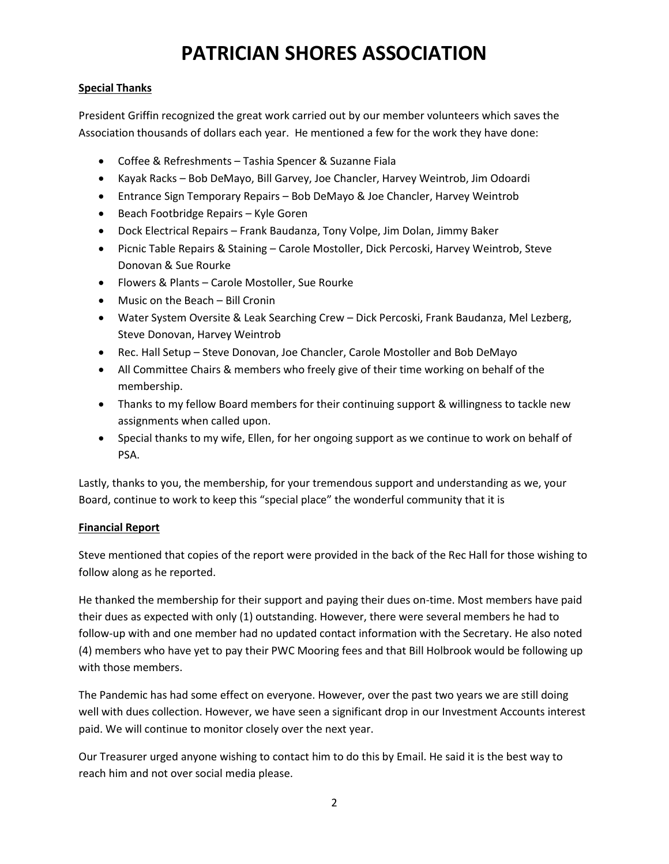## **Special Thanks**

President Griffin recognized the great work carried out by our member volunteers which saves the Association thousands of dollars each year. He mentioned a few for the work they have done:

- Coffee & Refreshments Tashia Spencer & Suzanne Fiala
- Kayak Racks Bob DeMayo, Bill Garvey, Joe Chancler, Harvey Weintrob, Jim Odoardi
- Entrance Sign Temporary Repairs Bob DeMayo & Joe Chancler, Harvey Weintrob
- Beach Footbridge Repairs Kyle Goren
- Dock Electrical Repairs Frank Baudanza, Tony Volpe, Jim Dolan, Jimmy Baker
- Picnic Table Repairs & Staining Carole Mostoller, Dick Percoski, Harvey Weintrob, Steve Donovan & Sue Rourke
- Flowers & Plants Carole Mostoller, Sue Rourke
- Music on the Beach Bill Cronin
- Water System Oversite & Leak Searching Crew Dick Percoski, Frank Baudanza, Mel Lezberg, Steve Donovan, Harvey Weintrob
- Rec. Hall Setup Steve Donovan, Joe Chancler, Carole Mostoller and Bob DeMayo
- All Committee Chairs & members who freely give of their time working on behalf of the membership.
- Thanks to my fellow Board members for their continuing support & willingness to tackle new assignments when called upon.
- Special thanks to my wife, Ellen, for her ongoing support as we continue to work on behalf of PSA.

Lastly, thanks to you, the membership, for your tremendous support and understanding as we, your Board, continue to work to keep this "special place" the wonderful community that it is

## **Financial Report**

Steve mentioned that copies of the report were provided in the back of the Rec Hall for those wishing to follow along as he reported.

He thanked the membership for their support and paying their dues on-time. Most members have paid their dues as expected with only (1) outstanding. However, there were several members he had to follow-up with and one member had no updated contact information with the Secretary. He also noted (4) members who have yet to pay their PWC Mooring fees and that Bill Holbrook would be following up with those members.

The Pandemic has had some effect on everyone. However, over the past two years we are still doing well with dues collection. However, we have seen a significant drop in our Investment Accounts interest paid. We will continue to monitor closely over the next year.

Our Treasurer urged anyone wishing to contact him to do this by Email. He said it is the best way to reach him and not over social media please.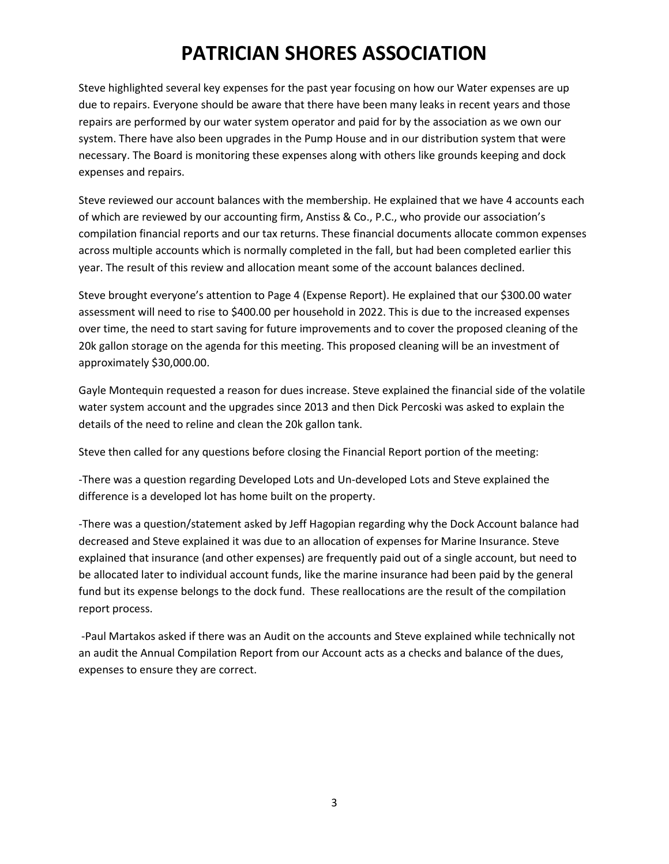Steve highlighted several key expenses for the past year focusing on how our Water expenses are up due to repairs. Everyone should be aware that there have been many leaks in recent years and those repairs are performed by our water system operator and paid for by the association as we own our system. There have also been upgrades in the Pump House and in our distribution system that were necessary. The Board is monitoring these expenses along with others like grounds keeping and dock expenses and repairs.

Steve reviewed our account balances with the membership. He explained that we have 4 accounts each of which are reviewed by our accounting firm, Anstiss & Co., P.C., who provide our association's compilation financial reports and our tax returns. These financial documents allocate common expenses across multiple accounts which is normally completed in the fall, but had been completed earlier this year. The result of this review and allocation meant some of the account balances declined.

Steve brought everyone's attention to Page 4 (Expense Report). He explained that our \$300.00 water assessment will need to rise to \$400.00 per household in 2022. This is due to the increased expenses over time, the need to start saving for future improvements and to cover the proposed cleaning of the 20k gallon storage on the agenda for this meeting. This proposed cleaning will be an investment of approximately \$30,000.00.

Gayle Montequin requested a reason for dues increase. Steve explained the financial side of the volatile water system account and the upgrades since 2013 and then Dick Percoski was asked to explain the details of the need to reline and clean the 20k gallon tank.

Steve then called for any questions before closing the Financial Report portion of the meeting:

-There was a question regarding Developed Lots and Un-developed Lots and Steve explained the difference is a developed lot has home built on the property.

-There was a question/statement asked by Jeff Hagopian regarding why the Dock Account balance had decreased and Steve explained it was due to an allocation of expenses for Marine Insurance. Steve explained that insurance (and other expenses) are frequently paid out of a single account, but need to be allocated later to individual account funds, like the marine insurance had been paid by the general fund but its expense belongs to the dock fund. These reallocations are the result of the compilation report process.

-Paul Martakos asked if there was an Audit on the accounts and Steve explained while technically not an audit the Annual Compilation Report from our Account acts as a checks and balance of the dues, expenses to ensure they are correct.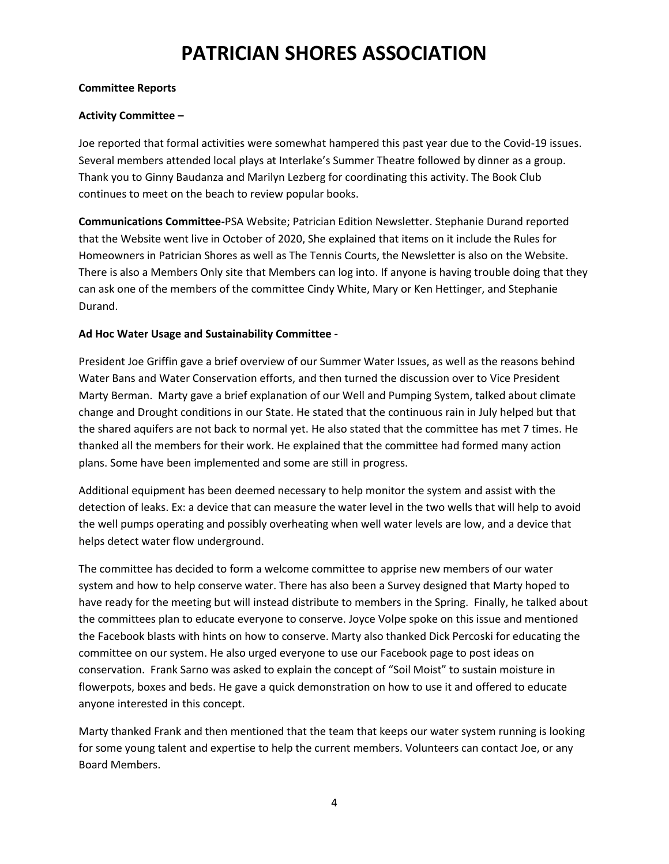#### **Committee Reports**

#### **Activity Committee –**

Joe reported that formal activities were somewhat hampered this past year due to the Covid-19 issues. Several members attended local plays at Interlake's Summer Theatre followed by dinner as a group. Thank you to Ginny Baudanza and Marilyn Lezberg for coordinating this activity. The Book Club continues to meet on the beach to review popular books.

**Communications Committee-**PSA Website; Patrician Edition Newsletter. Stephanie Durand reported that the Website went live in October of 2020, She explained that items on it include the Rules for Homeowners in Patrician Shores as well as The Tennis Courts, the Newsletter is also on the Website. There is also a Members Only site that Members can log into. If anyone is having trouble doing that they can ask one of the members of the committee Cindy White, Mary or Ken Hettinger, and Stephanie Durand.

#### **Ad Hoc Water Usage and Sustainability Committee -**

President Joe Griffin gave a brief overview of our Summer Water Issues, as well as the reasons behind Water Bans and Water Conservation efforts, and then turned the discussion over to Vice President Marty Berman. Marty gave a brief explanation of our Well and Pumping System, talked about climate change and Drought conditions in our State. He stated that the continuous rain in July helped but that the shared aquifers are not back to normal yet. He also stated that the committee has met 7 times. He thanked all the members for their work. He explained that the committee had formed many action plans. Some have been implemented and some are still in progress.

Additional equipment has been deemed necessary to help monitor the system and assist with the detection of leaks. Ex: a device that can measure the water level in the two wells that will help to avoid the well pumps operating and possibly overheating when well water levels are low, and a device that helps detect water flow underground.

The committee has decided to form a welcome committee to apprise new members of our water system and how to help conserve water. There has also been a Survey designed that Marty hoped to have ready for the meeting but will instead distribute to members in the Spring. Finally, he talked about the committees plan to educate everyone to conserve. Joyce Volpe spoke on this issue and mentioned the Facebook blasts with hints on how to conserve. Marty also thanked Dick Percoski for educating the committee on our system. He also urged everyone to use our Facebook page to post ideas on conservation. Frank Sarno was asked to explain the concept of "Soil Moist" to sustain moisture in flowerpots, boxes and beds. He gave a quick demonstration on how to use it and offered to educate anyone interested in this concept.

Marty thanked Frank and then mentioned that the team that keeps our water system running is looking for some young talent and expertise to help the current members. Volunteers can contact Joe, or any Board Members.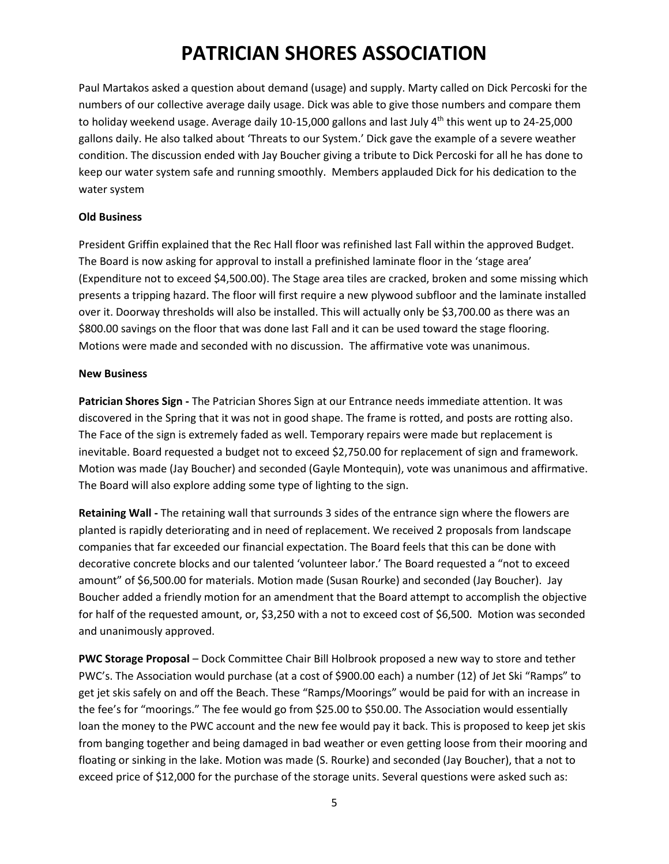Paul Martakos asked a question about demand (usage) and supply. Marty called on Dick Percoski for the numbers of our collective average daily usage. Dick was able to give those numbers and compare them to holiday weekend usage. Average daily 10-15,000 gallons and last July  $4<sup>th</sup>$  this went up to 24-25,000 gallons daily. He also talked about 'Threats to our System.' Dick gave the example of a severe weather condition. The discussion ended with Jay Boucher giving a tribute to Dick Percoski for all he has done to keep our water system safe and running smoothly. Members applauded Dick for his dedication to the water system

#### **Old Business**

President Griffin explained that the Rec Hall floor was refinished last Fall within the approved Budget. The Board is now asking for approval to install a prefinished laminate floor in the 'stage area' (Expenditure not to exceed \$4,500.00). The Stage area tiles are cracked, broken and some missing which presents a tripping hazard. The floor will first require a new plywood subfloor and the laminate installed over it. Doorway thresholds will also be installed. This will actually only be \$3,700.00 as there was an \$800.00 savings on the floor that was done last Fall and it can be used toward the stage flooring. Motions were made and seconded with no discussion. The affirmative vote was unanimous.

#### **New Business**

**Patrician Shores Sign -** The Patrician Shores Sign at our Entrance needs immediate attention. It was discovered in the Spring that it was not in good shape. The frame is rotted, and posts are rotting also. The Face of the sign is extremely faded as well. Temporary repairs were made but replacement is inevitable. Board requested a budget not to exceed \$2,750.00 for replacement of sign and framework. Motion was made (Jay Boucher) and seconded (Gayle Montequin), vote was unanimous and affirmative. The Board will also explore adding some type of lighting to the sign.

**Retaining Wall -** The retaining wall that surrounds 3 sides of the entrance sign where the flowers are planted is rapidly deteriorating and in need of replacement. We received 2 proposals from landscape companies that far exceeded our financial expectation. The Board feels that this can be done with decorative concrete blocks and our talented 'volunteer labor.' The Board requested a "not to exceed amount" of \$6,500.00 for materials. Motion made (Susan Rourke) and seconded (Jay Boucher). Jay Boucher added a friendly motion for an amendment that the Board attempt to accomplish the objective for half of the requested amount, or, \$3,250 with a not to exceed cost of \$6,500. Motion was seconded and unanimously approved.

**PWC Storage Proposal** – Dock Committee Chair Bill Holbrook proposed a new way to store and tether PWC's. The Association would purchase (at a cost of \$900.00 each) a number (12) of Jet Ski "Ramps" to get jet skis safely on and off the Beach. These "Ramps/Moorings" would be paid for with an increase in the fee's for "moorings." The fee would go from \$25.00 to \$50.00. The Association would essentially loan the money to the PWC account and the new fee would pay it back. This is proposed to keep jet skis from banging together and being damaged in bad weather or even getting loose from their mooring and floating or sinking in the lake. Motion was made (S. Rourke) and seconded (Jay Boucher), that a not to exceed price of \$12,000 for the purchase of the storage units. Several questions were asked such as: